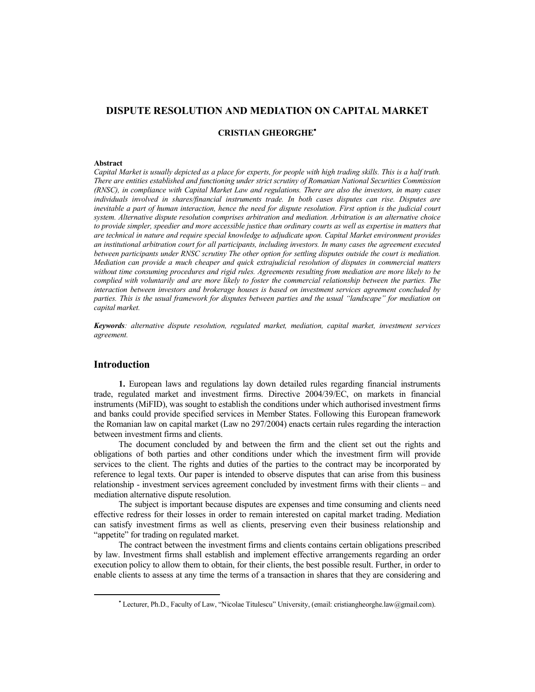# **DISPUTE RESOLUTION AND MEDIATION ON CAPITAL MARKET**

### **CRISTIAN GHEORGHE**

#### **Abstract**

*Capital Market is usually depicted as a place for experts, for people with high trading skills. This is a half truth. There are entities established and functioning under strict scrutiny of Romanian National Securities Commission (RNSC), in compliance with Capital Market Law and regulations. There are also the investors, in many cases individuals involved in shares/financial instruments trade. In both cases disputes can rise. Disputes are inevitable a part of human interaction, hence the need for dispute resolution. First option is the judicial court system. Alternative dispute resolution comprises arbitration and mediation. Arbitration is an alternative choice*  to provide simpler, speedier and more accessible justice than ordinary courts as well as expertise in matters that *are technical in nature and require special knowledge to adjudicate upon. Capital Market environment provides an institutional arbitration court for all participants, including investors. In many cases the agreement executed between participants under RNSC scrutiny The other option for settling disputes outside the court is mediation. Mediation can provide a much cheaper and quick extrajudicial resolution of disputes in commercial matters without time consuming procedures and rigid rules. Agreements resulting from mediation are more likely to be complied with voluntarily and are more likely to foster the commercial relationship between the parties. The interaction between investors and brokerage houses is based on investment services agreement concluded by parties. This is the usual framework for disputes between parties and the usual "landscape" for mediation on capital market.* 

*Keywords: alternative dispute resolution, regulated market, mediation, capital market, investment services agreement.* 

### **Introduction**

**1.** European laws and regulations lay down detailed rules regarding financial instruments trade, regulated market and investment firms. Directive 2004/39/EC, on markets in financial instruments (MiFID), was sought to establish the conditions under which authorised investment firms and banks could provide specified services in Member States. Following this European framework the Romanian law on capital market (Law no 297/2004) enacts certain rules regarding the interaction between investment firms and clients.

The document concluded by and between the firm and the client set out the rights and obligations of both parties and other conditions under which the investment firm will provide services to the client. The rights and duties of the parties to the contract may be incorporated by reference to legal texts. Our paper is intended to observe disputes that can arise from this business relationship - investment services agreement concluded by investment firms with their clients – and mediation alternative dispute resolution.

The subject is important because disputes are expenses and time consuming and clients need effective redress for their losses in order to remain interested on capital market trading. Mediation can satisfy investment firms as well as clients, preserving even their business relationship and "appetite" for trading on regulated market.

The contract between the investment firms and clients contains certain obligations prescribed by law. Investment firms shall establish and implement effective arrangements regarding an order execution policy to allow them to obtain, for their clients, the best possible result. Further, in order to enable clients to assess at any time the terms of a transaction in shares that they are considering and

Lecturer, Ph.D., Faculty of Law, "Nicolae Titulescu" University, (email: cristiangheorghe.law@gmail.com).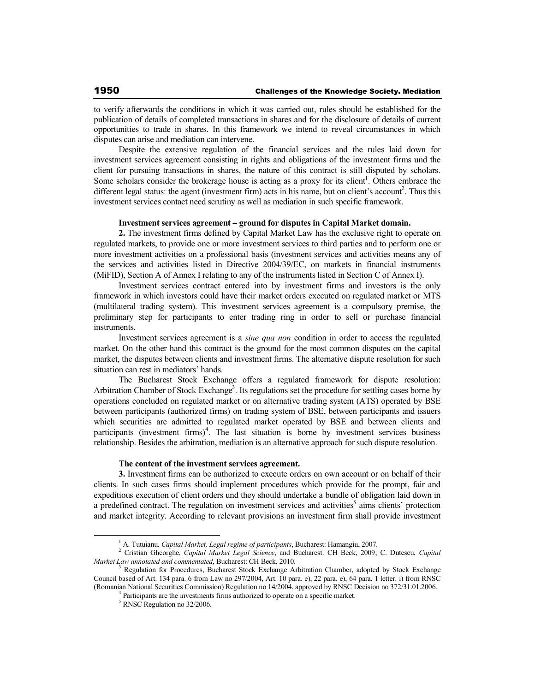to verify afterwards the conditions in which it was carried out, rules should be established for the publication of details of completed transactions in shares and for the disclosure of details of current opportunities to trade in shares. In this framework we intend to reveal circumstances in which disputes can arise and mediation can intervene.

Despite the extensive regulation of the financial services and the rules laid down for investment services agreement consisting in rights and obligations of the investment firms und the client for pursuing transactions in shares, the nature of this contract is still disputed by scholars. Some scholars consider the brokerage house is acting as a proxy for its client<sup>1</sup>. Others embrace the different legal status: the agent (investment firm) acts in his name, but on client's account<sup>2</sup>. Thus this investment services contact need scrutiny as well as mediation in such specific framework.

## **Investment services agreement – ground for disputes in Capital Market domain.**

**2.** The investment firms defined by Capital Market Law has the exclusive right to operate on regulated markets, to provide one or more investment services to third parties and to perform one or more investment activities on a professional basis (investment services and activities means any of the services and activities listed in Directive 2004/39/EC, on markets in financial instruments (MiFID), Section A of Annex I relating to any of the instruments listed in Section C of Annex I).

Investment services contract entered into by investment firms and investors is the only framework in which investors could have their market orders executed on regulated market or MTS (multilateral trading system). This investment services agreement is a compulsory premise, the preliminary step for participants to enter trading ring in order to sell or purchase financial instruments.

Investment services agreement is a *sine qua non* condition in order to access the regulated market. On the other hand this contract is the ground for the most common disputes on the capital market, the disputes between clients and investment firms. The alternative dispute resolution for such situation can rest in mediators' hands.

The Bucharest Stock Exchange offers a regulated framework for dispute resolution: Arbitration Chamber of Stock Exchange<sup>3</sup>. Its regulations set the procedure for settling cases borne by operations concluded on regulated market or on alternative trading system (ATS) operated by BSE between participants (authorized firms) on trading system of BSE, between participants and issuers which securities are admitted to regulated market operated by BSE and between clients and participants (investment firms)<sup>4</sup>. The last situation is borne by investment services business relationship. Besides the arbitration, mediation is an alternative approach for such dispute resolution.

#### **The content of the investment services agreement.**

**3.** Investment firms can be authorized to execute orders on own account or on behalf of their clients. In such cases firms should implement procedures which provide for the prompt, fair and expeditious execution of client orders und they should undertake a bundle of obligation laid down in a predefined contract. The regulation on investment services and activities<sup>5</sup> aims clients' protection and market integrity. According to relevant provisions an investment firm shall provide investment

<sup>&</sup>lt;sup>1</sup> A. Tutuianu, *Capital Market, Legal regime of participants*, Bucharest: Hamangiu, 2007.<br><sup>2</sup> Cristian Gheorghe, *Capital Market Legal Science*, and Bucharest: CH Beck, 2009; C. Dutescu, *Capital Market Law annotated and commentated*, Bucharest: CH Beck, 2010.

<sup>3</sup> Regulation for Procedures, Bucharest Stock Exchange Arbitration Chamber, adopted by Stock Exchange Council based of Art. 134 para. 6 from Law no 297/2004, Art. 10 para. e), 22 para. e), 64 para. 1 letter. i) from RNSC (Romanian National Securities Commission) Regulation no 14/2004, approved by RNSC Decision no 372/31.01.2006.

<sup>&</sup>lt;sup>4</sup> Participants are the investments firms authorized to operate on a specific market.

<sup>5</sup> RNSC Regulation no 32/2006.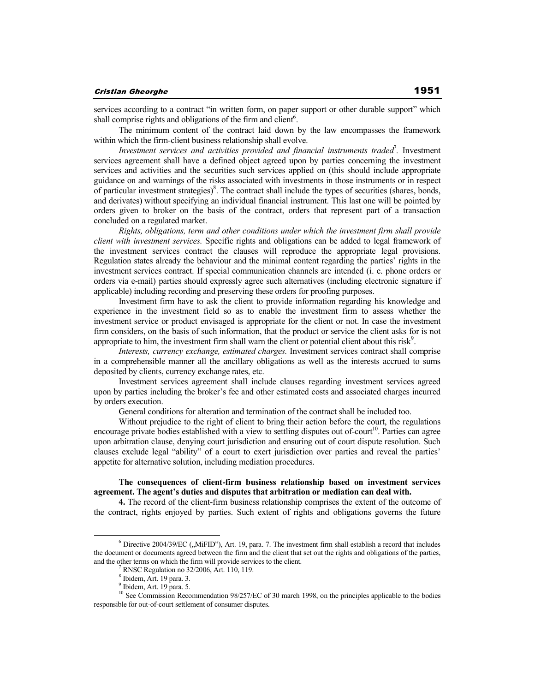services according to a contract "in written form, on paper support or other durable support" which shall comprise rights and obligations of the firm and client $6$ .

The minimum content of the contract laid down by the law encompasses the framework within which the firm-client business relationship shall evolve.

Investment services and activities provided and financial instruments traded<sup>7</sup>. Investment services agreement shall have a defined object agreed upon by parties concerning the investment services and activities and the securities such services applied on (this should include appropriate guidance on and warnings of the risks associated with investments in those instruments or in respect of particular investment strategies) $8$ . The contract shall include the types of securities (shares, bonds, and derivates) without specifying an individual financial instrument. This last one will be pointed by orders given to broker on the basis of the contract, orders that represent part of a transaction concluded on a regulated market.

*Rights, obligations, term and other conditions under which the investment firm shall provide client with investment services.* Specific rights and obligations can be added to legal framework of the investment services contract the clauses will reproduce the appropriate legal provisions. Regulation states already the behaviour and the minimal content regarding the parties' rights in the investment services contract. If special communication channels are intended (i. e. phone orders or orders via e-mail) parties should expressly agree such alternatives (including electronic signature if applicable) including recording and preserving these orders for proofing purposes.

Investment firm have to ask the client to provide information regarding his knowledge and experience in the investment field so as to enable the investment firm to assess whether the investment service or product envisaged is appropriate for the client or not. In case the investment firm considers, on the basis of such information, that the product or service the client asks for is not appropriate to him, the investment firm shall warn the client or potential client about this risk<sup>9</sup>.

*Interests, currency exchange, estimated charges.* Investment services contract shall comprise in a comprehensible manner all the ancillary obligations as well as the interests accrued to sums deposited by clients, currency exchange rates, etc.

Investment services agreement shall include clauses regarding investment services agreed upon by parties including the broker's fee and other estimated costs and associated charges incurred by orders execution.

General conditions for alteration and termination of the contract shall be included too.

Without prejudice to the right of client to bring their action before the court, the regulations encourage private bodies established with a view to settling disputes out of-court<sup>10</sup>. Parties can agree upon arbitration clause, denying court jurisdiction and ensuring out of court dispute resolution. Such clauses exclude legal "ability" of a court to exert jurisdiction over parties and reveal the parties' appetite for alternative solution, including mediation procedures.

### **The consequences of client-firm business relationship based on investment services agreement. The agent's duties and disputes that arbitration or mediation can deal with.**

**4.** The record of the client-firm business relationship comprises the extent of the outcome of the contract, rights enjoyed by parties. Such extent of rights and obligations governs the future

 $6$  Directive 2004/39/EC ("MiFID"), Art. 19, para. 7. The investment firm shall establish a record that includes the document or documents agreed between the firm and the client that set out the rights and obligations of the parties, and the other terms on which the firm will provide services to the client.

<sup>7</sup> RNSC Regulation no 32/2006, Art. 110, 119.

 $^{8}$  Ibidem, Art. 19 para. 3.

Ibidem, Art. 19 para. 5.

<sup>&</sup>lt;sup>10</sup> See Commission Recommendation 98/257/EC of 30 march 1998, on the principles applicable to the bodies responsible for out-of-court settlement of consumer disputes.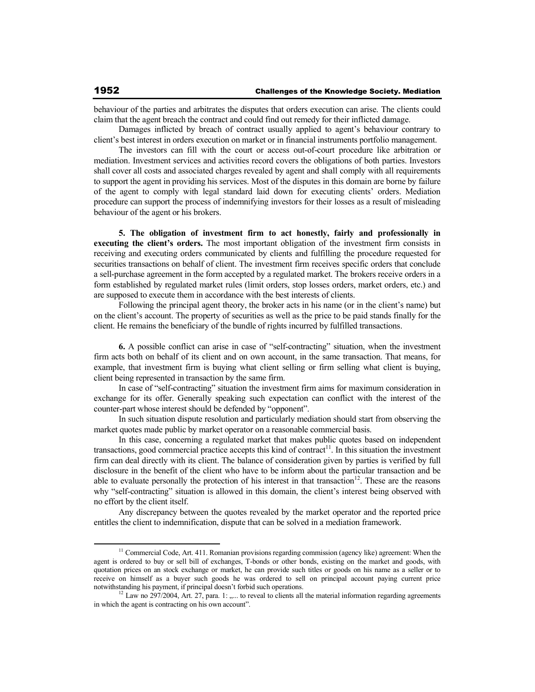behaviour of the parties and arbitrates the disputes that orders execution can arise. The clients could claim that the agent breach the contract and could find out remedy for their inflicted damage.

Damages inflicted by breach of contract usually applied to agent's behaviour contrary to client's best interest in orders execution on market or in financial instruments portfolio management.

The investors can fill with the court or access out-of-court procedure like arbitration or mediation. Investment services and activities record covers the obligations of both parties. Investors shall cover all costs and associated charges revealed by agent and shall comply with all requirements to support the agent in providing his services. Most of the disputes in this domain are borne by failure of the agent to comply with legal standard laid down for executing clients' orders. Mediation procedure can support the process of indemnifying investors for their losses as a result of misleading behaviour of the agent or his brokers.

**5. The obligation of investment firm to act honestly, fairly and professionally in executing the client's orders.** The most important obligation of the investment firm consists in receiving and executing orders communicated by clients and fulfilling the procedure requested for securities transactions on behalf of client. The investment firm receives specific orders that conclude a sell-purchase agreement in the form accepted by a regulated market. The brokers receive orders in a form established by regulated market rules (limit orders, stop losses orders, market orders, etc.) and are supposed to execute them in accordance with the best interests of clients.

Following the principal agent theory, the broker acts in his name (or in the client's name) but on the client's account. The property of securities as well as the price to be paid stands finally for the client. He remains the beneficiary of the bundle of rights incurred by fulfilled transactions.

**6.** A possible conflict can arise in case of "self-contracting" situation, when the investment firm acts both on behalf of its client and on own account, in the same transaction. That means, for example, that investment firm is buying what client selling or firm selling what client is buying, client being represented in transaction by the same firm.

In case of "self-contracting" situation the investment firm aims for maximum consideration in exchange for its offer. Generally speaking such expectation can conflict with the interest of the counter-part whose interest should be defended by "opponent".

In such situation dispute resolution and particularly mediation should start from observing the market quotes made public by market operator on a reasonable commercial basis.

In this case, concerning a regulated market that makes public quotes based on independent transactions, good commercial practice accepts this kind of contract<sup>11</sup>. In this situation the investment firm can deal directly with its client. The balance of consideration given by parties is verified by full disclosure in the benefit of the client who have to be inform about the particular transaction and be able to evaluate personally the protection of his interest in that transaction<sup>12</sup>. These are the reasons why "self-contracting" situation is allowed in this domain, the client's interest being observed with no effort by the client itself.

Any discrepancy between the quotes revealed by the market operator and the reported price entitles the client to indemnification, dispute that can be solved in a mediation framework.

<sup>&</sup>lt;sup>11</sup> Commercial Code, Art. 411. Romanian provisions regarding commission (agency like) agreement: When the agent is ordered to buy or sell bill of exchanges, T-bonds or other bonds, existing on the market and goods, with quotation prices on an stock exchange or market, he can provide such titles or goods on his name as a seller or to receive on himself as a buyer such goods he was ordered to sell on principal account paying current price

notwithstanding his payment, if principal doesn't forbid such operations.<br><sup>12</sup> Law no 297/2004, Art. 27, para. 1: .,... to reveal to clients all the material information regarding agreements in which the agent is contracting on his own account".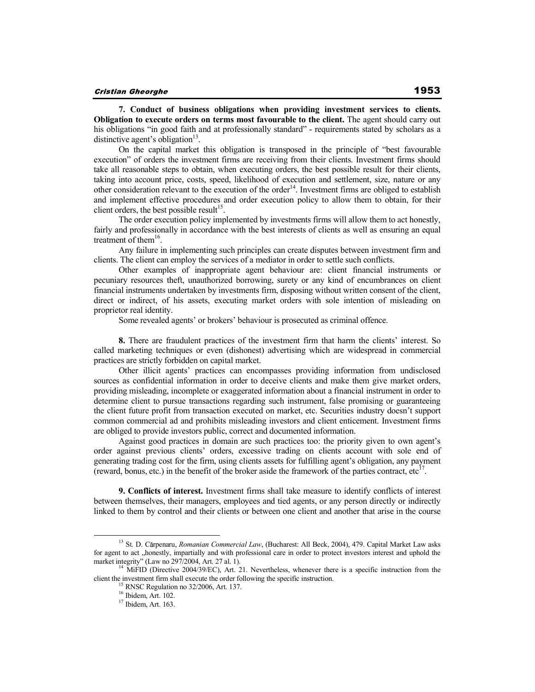**7. Conduct of business obligations when providing investment services to clients. Obligation to execute orders on terms most favourable to the client.** The agent should carry out his obligations "in good faith and at professionally standard" - requirements stated by scholars as a distinctive agent's obligation $^{13}$ .

On the capital market this obligation is transposed in the principle of "best favourable execution" of orders the investment firms are receiving from their clients. Investment firms should take all reasonable steps to obtain, when executing orders, the best possible result for their clients, taking into account price, costs, speed, likelihood of execution and settlement, size, nature or any other consideration relevant to the execution of the order<sup>14</sup>. Investment firms are obliged to establish and implement effective procedures and order execution policy to allow them to obtain, for their client orders, the best possible result<sup>15</sup>.

The order execution policy implemented by investments firms will allow them to act honestly, fairly and professionally in accordance with the best interests of clients as well as ensuring an equal treatment of them<sup>16</sup>.

Any failure in implementing such principles can create disputes between investment firm and clients. The client can employ the services of a mediator in order to settle such conflicts.

Other examples of inappropriate agent behaviour are: client financial instruments or pecuniary resources theft, unauthorized borrowing, surety or any kind of encumbrances on client financial instruments undertaken by investments firm, disposing without written consent of the client, direct or indirect, of his assets, executing market orders with sole intention of misleading on proprietor real identity.

Some revealed agents' or brokers' behaviour is prosecuted as criminal offence.

**8.** There are fraudulent practices of the investment firm that harm the clients' interest. So called marketing techniques or even (dishonest) advertising which are widespread in commercial practices are strictly forbidden on capital market.

Other illicit agents' practices can encompasses providing information from undisclosed sources as confidential information in order to deceive clients and make them give market orders, providing misleading, incomplete or exaggerated information about a financial instrument in order to determine client to pursue transactions regarding such instrument, false promising or guaranteeing the client future profit from transaction executed on market, etc. Securities industry doesn't support common commercial ad and prohibits misleading investors and client enticement. Investment firms are obliged to provide investors public, correct and documented information.

Against good practices in domain are such practices too: the priority given to own agent's order against previous clients' orders, excessive trading on clients account with sole end of generating trading cost for the firm, using clients assets for fulfilling agent's obligation, any payment (reward, bonus, etc.) in the benefit of the broker aside the framework of the parties contract, etc<sup>17</sup>.

**9. Conflicts of interest.** Investment firms shall take measure to identify conflicts of interest between themselves, their managers, employees and tied agents, or any person directly or indirectly linked to them by control and their clients or between one client and another that arise in the course

<sup>&</sup>lt;sup>13</sup> St. D. Cărpenaru, *Romanian Commercial Law*, (Bucharest: All Beck, 2004), 479. Capital Market Law asks for agent to act "honestly, impartially and with professional care in order to protect investors interest and uphold the market integrity" (Law no 297/2004, Art. 27 al. 1).

<sup>&</sup>lt;sup>4</sup> MiFID (Directive 2004/39/EC), Art. 21. Nevertheless, whenever there is a specific instruction from the client the investment firm shall execute the order following the specific instruction.

RNSC Regulation no 32/2006, Art. 137.

 $^{16}$  Ibidem, Art. 102.

<sup>17</sup> Ibidem, Art. 163.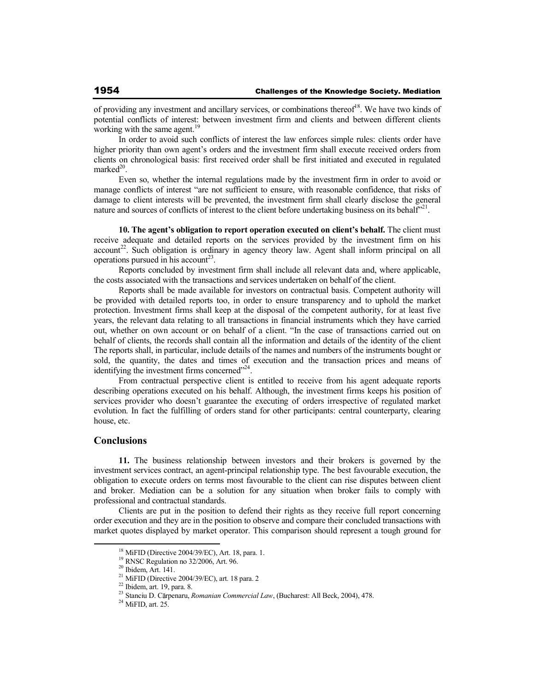of providing any investment and ancillary services, or combinations thereof<sup>18</sup>. We have two kinds of potential conflicts of interest: between investment firm and clients and between different clients working with the same agent.<sup>19</sup>

In order to avoid such conflicts of interest the law enforces simple rules: clients order have higher priority than own agent's orders and the investment firm shall execute received orders from clients on chronological basis: first received order shall be first initiated and executed in regulated  $marked<sup>20</sup>$ .

Even so, whether the internal regulations made by the investment firm in order to avoid or manage conflicts of interest "are not sufficient to ensure, with reasonable confidence, that risks of damage to client interests will be prevented, the investment firm shall clearly disclose the general nature and sources of conflicts of interest to the client before undertaking business on its behalf<sup>221</sup>.

**10. The agent's obligation to report operation executed on client's behalf.** The client must receive adequate and detailed reports on the services provided by the investment firm on his  $account^{22}$ . Such obligation is ordinary in agency theory law. Agent shall inform principal on all operations pursued in his account<sup>23</sup>.

Reports concluded by investment firm shall include all relevant data and, where applicable, the costs associated with the transactions and services undertaken on behalf of the client.

Reports shall be made available for investors on contractual basis. Competent authority will be provided with detailed reports too, in order to ensure transparency and to uphold the market protection. Investment firms shall keep at the disposal of the competent authority, for at least five years, the relevant data relating to all transactions in financial instruments which they have carried out, whether on own account or on behalf of a client. "In the case of transactions carried out on behalf of clients, the records shall contain all the information and details of the identity of the client The reports shall, in particular, include details of the names and numbers of the instruments bought or sold, the quantity, the dates and times of execution and the transaction prices and means of identifying the investment firms concerned"<sup>24</sup>.

From contractual perspective client is entitled to receive from his agent adequate reports describing operations executed on his behalf. Although, the investment firms keeps his position of services provider who doesn't guarantee the executing of orders irrespective of regulated market evolution. In fact the fulfilling of orders stand for other participants: central counterparty, clearing house, etc.

### **Conclusions**

**11.** The business relationship between investors and their brokers is governed by the investment services contract, an agent-principal relationship type. The best favourable execution, the obligation to execute orders on terms most favourable to the client can rise disputes between client and broker. Mediation can be a solution for any situation when broker fails to comply with professional and contractual standards.

Clients are put in the position to defend their rights as they receive full report concerning order execution and they are in the position to observe and compare their concluded transactions with market quotes displayed by market operator. This comparison should represent a tough ground for

 $18$  MiFID (Directive 2004/39/EC), Art. 18, para. 1.

<sup>19</sup> RNSC Regulation no 32/2006, Art. 96.

<sup>20</sup> Ibidem, Art. 141.

<sup>21</sup> MiFID (Directive 2004/39/EC), art. 18 para. 2

 $22$  Ibidem, art. 19, para. 8.

<sup>&</sup>lt;sup>23</sup> Stanciu D. Cărpenaru, *Romanian Commercial Law*, (Bucharest: All Beck, 2004), 478.

 $^{24}$  MiFID, art. 25.